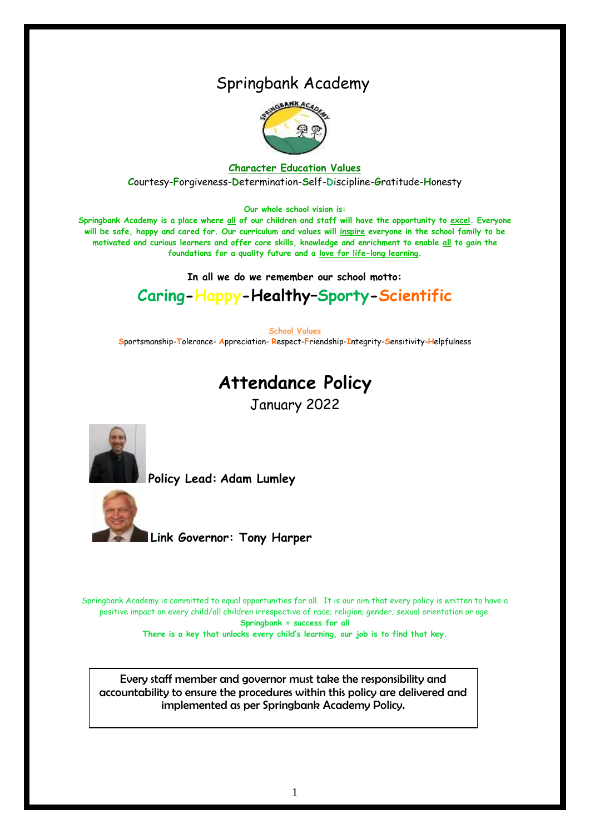## Springbank Academy



**Character Education Values C**ourtesy-**F**orgiveness-**D**etermination-**S**elf-**D**iscipline-**G**ratitude-**H**onesty

#### **Our whole school vision is:**

**Springbank Academy is a place where all of our children and staff will have the opportunity to excel. Everyone will be safe, happy and cared for. Our curriculum and values will inspire everyone in the school family to be motivated and curious learners and offer core skills, knowledge and enrichment to enable all to gain the foundations for a quality future and a love for life-long learning.**

**In all we do we remember our school motto:**

## **Caring-Happy-Healthy–Sporty-Scientific**

**School Values**

**S**portsmanship-**T**olerance- **A**ppreciation- **R**espect-**F**riendship-**I**ntegrity-**S**ensitivity-**H**elpfulness

# **Attendance Policy**

January 2022



**Policy Lead: Adam Lumley**



 **Link Governor: Tony Harper** 

Springbank Academy is committed to equal opportunities for all. It is our aim that every policy is written to have a positive impact on every child/all children irrespective of race; religion; gender; sexual orientation or age. **Springbank = success for all There is a key that unlocks every child's learning, our job is to find that key.**

Every staff member and governor must take the responsibility and accountability to ensure the procedures within this policy are delivered and implemented as per Springbank Academy Policy.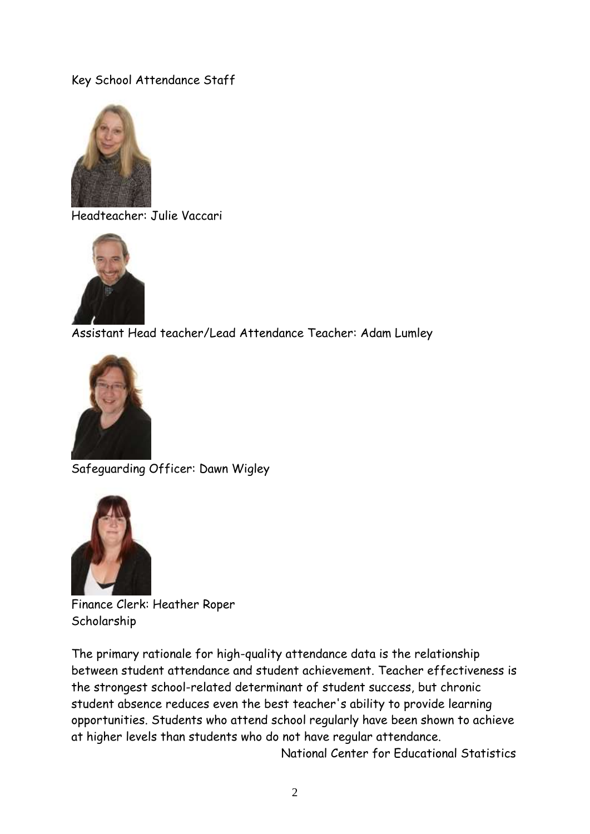### Key School Attendance Staff



Headteacher: Julie Vaccari



Assistant Head teacher/Lead Attendance Teacher: Adam Lumley



Safeguarding Officer: Dawn Wigley



Finance Clerk: Heather Roper Scholarship

The primary rationale for high-quality attendance data is the relationship between student attendance and student achievement. Teacher effectiveness is the strongest school-related determinant of student success, but chronic student absence reduces even the best teacher's ability to provide learning opportunities. Students who attend school regularly have been shown to achieve at higher levels than students who do not have regular attendance.

National Center for Educational Statistics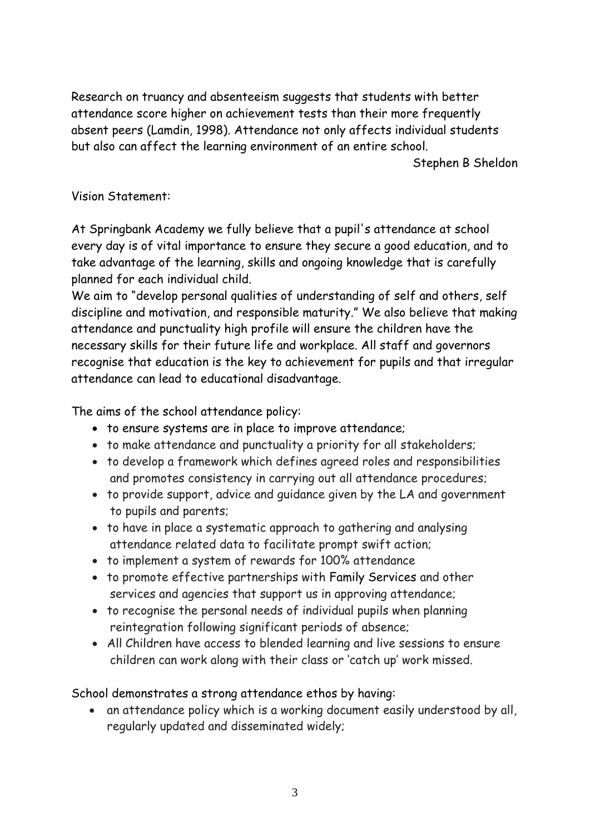Research on truancy and absenteeism suggests that students with better attendance score higher on achievement tests than their more frequently absent peers (Lamdin, 1998). Attendance not only affects individual students but also can affect the learning environment of an entire school.

Stephen B Sheldon

#### Vision Statement:

At Springbank Academy we fully believe that a pupil's attendance at school every day is of vital importance to ensure they secure a good education, and to take advantage of the learning, skills and ongoing knowledge that is carefully planned for each individual child.

We aim to "develop personal qualities of understanding of self and others, self discipline and motivation, and responsible maturity." We also believe that making attendance and punctuality high profile will ensure the children have the necessary skills for their future life and workplace. All staff and governors recognise that education is the key to achievement for pupils and that irregular attendance can lead to educational disadvantage.

The aims of the school attendance policy:

- to ensure systems are in place to improve attendance;
- to make attendance and punctuality a priority for all stakeholders;
- to develop a framework which defines agreed roles and responsibilities and promotes consistency in carrying out all attendance procedures;
- to provide support, advice and guidance given by the LA and government to pupils and parents;
- to have in place a systematic approach to gathering and analysing attendance related data to facilitate prompt swift action;
- to implement a system of rewards for 100% attendance
- to promote effective partnerships with Family Services and other services and agencies that support us in approving attendance;
- to recognise the personal needs of individual pupils when planning reintegration following significant periods of absence;
- All Children have access to blended learning and live sessions to ensure children can work along with their class or 'catch up' work missed.

School demonstrates a strong attendance ethos by having:

 an attendance policy which is a working document easily understood by all, regularly updated and disseminated widely;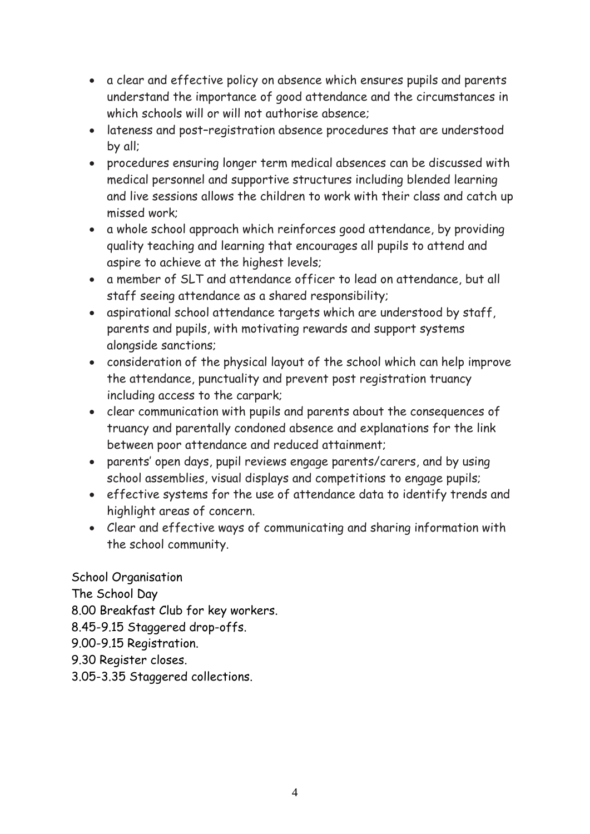- a clear and effective policy on absence which ensures pupils and parents understand the importance of good attendance and the circumstances in which schools will or will not authorise absence;
- lateness and post–registration absence procedures that are understood by all;
- procedures ensuring longer term medical absences can be discussed with medical personnel and supportive structures including blended learning and live sessions allows the children to work with their class and catch up missed work;
- a whole school approach which reinforces good attendance, by providing quality teaching and learning that encourages all pupils to attend and aspire to achieve at the highest levels;
- a member of SLT and attendance officer to lead on attendance, but all staff seeing attendance as a shared responsibility;
- aspirational school attendance targets which are understood by staff, parents and pupils, with motivating rewards and support systems alongside sanctions;
- consideration of the physical layout of the school which can help improve the attendance, punctuality and prevent post registration truancy including access to the carpark;
- clear communication with pupils and parents about the consequences of truancy and parentally condoned absence and explanations for the link between poor attendance and reduced attainment;
- parents' open days, pupil reviews engage parents/carers, and by using school assemblies, visual displays and competitions to engage pupils;
- effective systems for the use of attendance data to identify trends and highlight areas of concern.
- Clear and effective ways of communicating and sharing information with the school community.

School Organisation The School Day 8.00 Breakfast Club for key workers. 8.45-9.15 Staggered drop-offs. 9.00-9.15 Registration.

- 9.30 Register closes.
- 3.05-3.35 Staggered collections.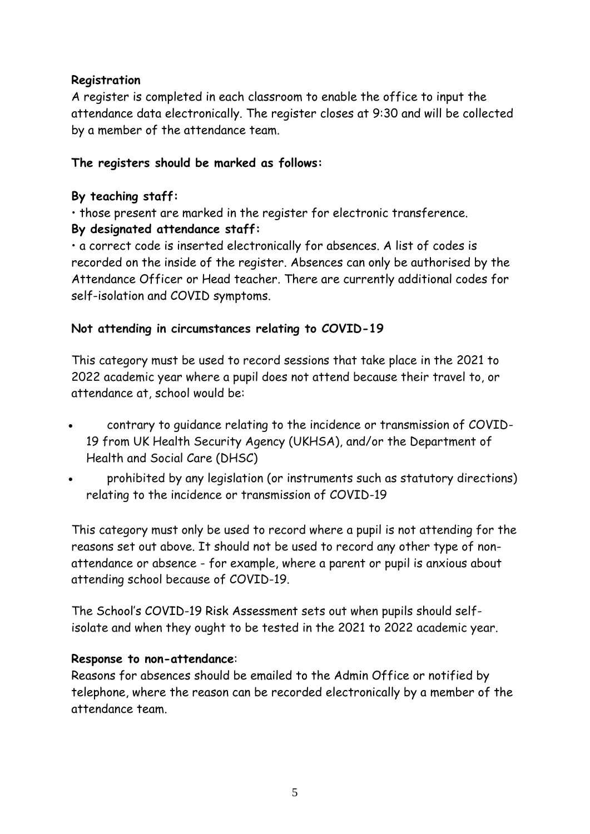#### **Registration**

A register is completed in each classroom to enable the office to input the attendance data electronically. The register closes at 9:30 and will be collected by a member of the attendance team.

#### **The registers should be marked as follows:**

#### **By teaching staff:**

• those present are marked in the register for electronic transference.

#### **By designated attendance staff:**

• a correct code is inserted electronically for absences. A list of codes is recorded on the inside of the register. Absences can only be authorised by the Attendance Officer or Head teacher. There are currently additional codes for self-isolation and COVID symptoms.

#### **Not attending in circumstances relating to COVID-19**

This category must be used to record sessions that take place in the 2021 to 2022 academic year where a pupil does not attend because their travel to, or attendance at, school would be:

- contrary to guidance relating to the incidence or transmission of COVID-19 from UK Health Security Agency (UKHSA), and/or the Department of Health and Social Care (DHSC)
- prohibited by any legislation (or instruments such as statutory directions) relating to the incidence or transmission of COVID-19

This category must only be used to record where a pupil is not attending for the reasons set out above. It should not be used to record any other type of nonattendance or absence - for example, where a parent or pupil is anxious about attending school because of COVID-19.

The School's COVID-19 Risk Assessment sets out when pupils should selfisolate and when they ought to be tested in the 2021 to 2022 academic year.

#### **Response to non-attendance**:

Reasons for absences should be emailed to the Admin Office or notified by telephone, where the reason can be recorded electronically by a member of the attendance team.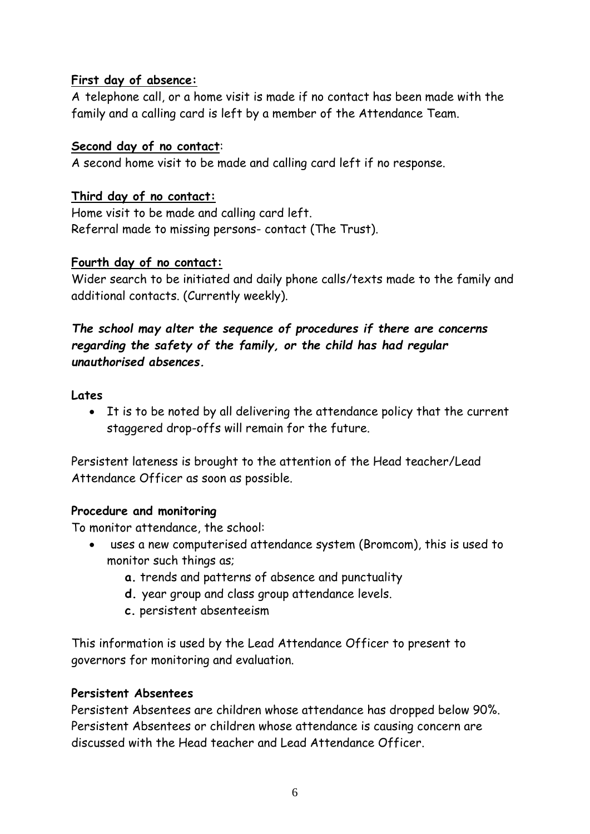#### **First day of absence:**

A telephone call, or a home visit is made if no contact has been made with the family and a calling card is left by a member of the Attendance Team.

#### **Second day of no contact**:

A second home visit to be made and calling card left if no response.

### **Third day of no contact:**

Home visit to be made and calling card left. Referral made to missing persons- contact (The Trust).

#### **Fourth day of no contact:**

Wider search to be initiated and daily phone calls/texts made to the family and additional contacts. (Currently weekly).

### *The school may alter the sequence of procedures if there are concerns regarding the safety of the family, or the child has had regular unauthorised absences.*

#### **Lates**

 It is to be noted by all delivering the attendance policy that the current staggered drop-offs will remain for the future.

Persistent lateness is brought to the attention of the Head teacher/Lead Attendance Officer as soon as possible.

## **Procedure and monitoring**

To monitor attendance, the school:

- uses a new computerised attendance system (Bromcom), this is used to monitor such things as;
	- **a.** trends and patterns of absence and punctuality
	- **d.** year group and class group attendance levels.
	- **c.** persistent absenteeism

This information is used by the Lead Attendance Officer to present to governors for monitoring and evaluation.

## **Persistent Absentees**

Persistent Absentees are children whose attendance has dropped below 90%. Persistent Absentees or children whose attendance is causing concern are discussed with the Head teacher and Lead Attendance Officer.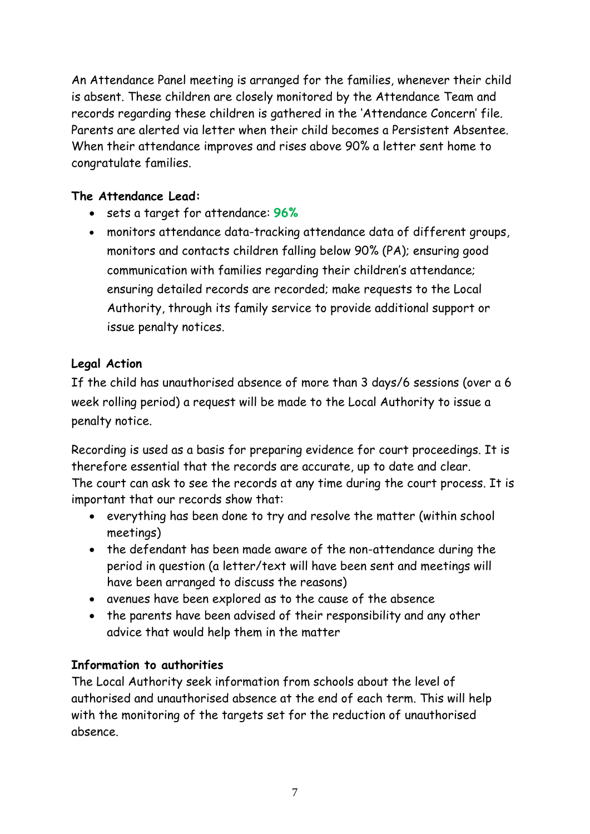An Attendance Panel meeting is arranged for the families, whenever their child is absent. These children are closely monitored by the Attendance Team and records regarding these children is gathered in the 'Attendance Concern' file. Parents are alerted via letter when their child becomes a Persistent Absentee. When their attendance improves and rises above 90% a letter sent home to congratulate families.

## **The Attendance Lead:**

- sets a target for attendance: **96%**
- monitors attendance data-tracking attendance data of different groups, monitors and contacts children falling below 90% (PA); ensuring good communication with families regarding their children's attendance; ensuring detailed records are recorded; make requests to the Local Authority, through its family service to provide additional support or issue penalty notices.

### **Legal Action**

If the child has unauthorised absence of more than 3 days/6 sessions (over a 6 week rolling period) a request will be made to the Local Authority to issue a penalty notice.

Recording is used as a basis for preparing evidence for court proceedings. It is therefore essential that the records are accurate, up to date and clear. The court can ask to see the records at any time during the court process. It is important that our records show that:

- everything has been done to try and resolve the matter (within school meetings)
- the defendant has been made aware of the non-attendance during the period in question (a letter/text will have been sent and meetings will have been arranged to discuss the reasons)
- avenues have been explored as to the cause of the absence
- the parents have been advised of their responsibility and any other advice that would help them in the matter

#### **Information to authorities**

The Local Authority seek information from schools about the level of authorised and unauthorised absence at the end of each term. This will help with the monitoring of the targets set for the reduction of unauthorised absence.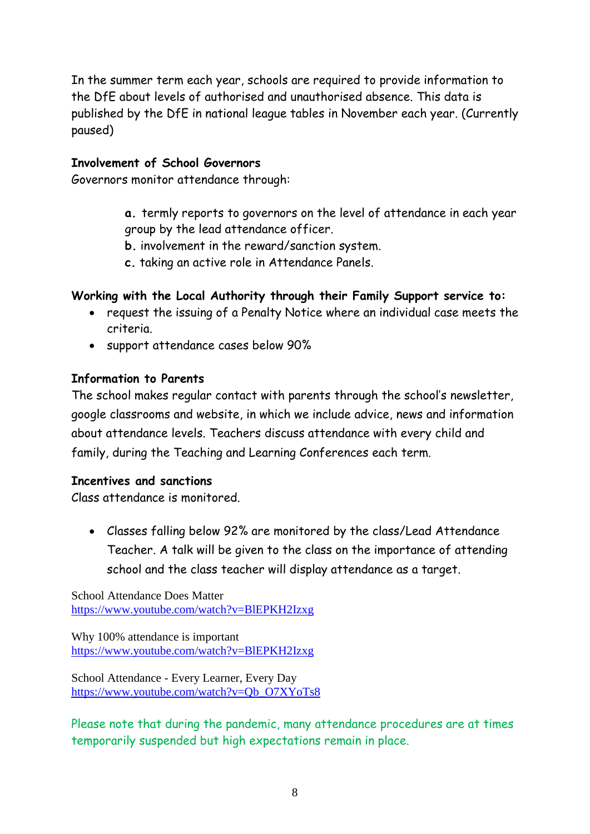In the summer term each year, schools are required to provide information to the DfE about levels of authorised and unauthorised absence. This data is published by the DfE in national league tables in November each year. (Currently paused)

#### **Involvement of School Governors**

Governors monitor attendance through:

- **a.** termly reports to governors on the level of attendance in each year group by the lead attendance officer.
- **b.** involvement in the reward/sanction system.
- **c.** taking an active role in Attendance Panels.

#### **Working with the Local Authority through their Family Support service to:**

- request the issuing of a Penalty Notice where an individual case meets the criteria.
- support attendance cases below 90%

#### **Information to Parents**

The school makes regular contact with parents through the school's newsletter, google classrooms and website, in which we include advice, news and information about attendance levels. Teachers discuss attendance with every child and family, during the Teaching and Learning Conferences each term.

#### **Incentives and sanctions**

Class attendance is monitored.

 Classes falling below 92% are monitored by the class/Lead Attendance Teacher. A talk will be given to the class on the importance of attending school and the class teacher will display attendance as a target.

School Attendance Does Matter <https://www.youtube.com/watch?v=BlEPKH2Izxg>

Why 100% attendance is important <https://www.youtube.com/watch?v=BlEPKH2Izxg>

School Attendance - Every Learner, Every Day [https://www.youtube.com/watch?v=Qb\\_O7XYoTs8](https://www.youtube.com/watch?v=Qb_O7XYoTs8)

Please note that during the pandemic, many attendance procedures are at times temporarily suspended but high expectations remain in place.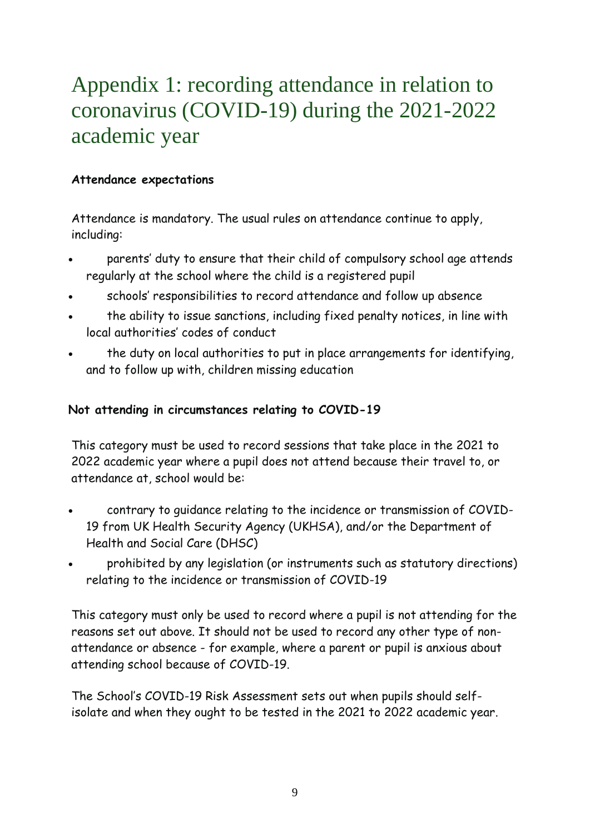# Appendix 1: recording attendance in relation to coronavirus (COVID-19) during the 2021-2022 academic year

#### **Attendance expectations**

Attendance is mandatory. The usual rules on attendance continue to apply, including:

- parents' duty to ensure that their child of compulsory school age attends regularly at the school where the child is a registered pupil
- schools' responsibilities to record attendance and follow up absence
- the ability to issue sanctions, including fixed penalty notices, in line with local authorities' codes of conduct
- the duty on local authorities to put in place arrangements for identifying, and to follow up with, children missing education

### **Not attending in circumstances relating to COVID-19**

This category must be used to record sessions that take place in the 2021 to 2022 academic year where a pupil does not attend because their travel to, or attendance at, school would be:

- contrary to guidance relating to the incidence or transmission of COVID-19 from UK Health Security Agency (UKHSA), and/or the Department of Health and Social Care (DHSC)
- prohibited by any legislation (or instruments such as statutory directions) relating to the incidence or transmission of COVID-19

This category must only be used to record where a pupil is not attending for the reasons set out above. It should not be used to record any other type of nonattendance or absence - for example, where a parent or pupil is anxious about attending school because of COVID-19.

The School's COVID-19 Risk Assessment sets out when pupils should selfisolate and when they ought to be tested in the 2021 to 2022 academic year.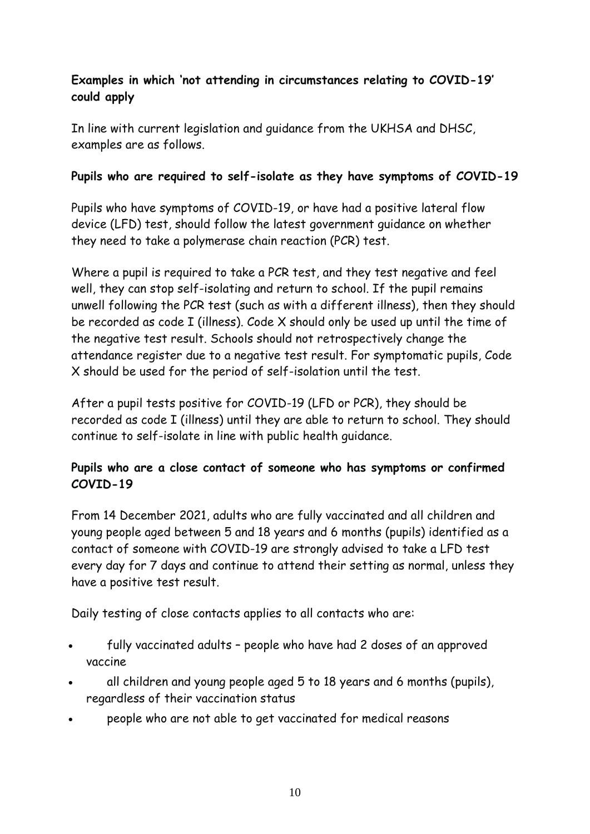## **Examples in which 'not attending in circumstances relating to COVID-19' could apply**

In line with current legislation and guidance from the UKHSA and DHSC, examples are as follows.

#### **Pupils who are required to self-isolate as they have symptoms of COVID-19**

Pupils who have symptoms of COVID-19, or have had a positive lateral flow device (LFD) test, should follow the latest government guidance on whether they need to take a polymerase chain reaction (PCR) test.

Where a pupil is required to take a PCR test, and they test negative and feel well, they can stop self-isolating and return to school. If the pupil remains unwell following the PCR test (such as with a different illness), then they should be recorded as code I (illness). Code X should only be used up until the time of the negative test result. Schools should not retrospectively change the attendance register due to a negative test result. For symptomatic pupils, Code X should be used for the period of self-isolation until the test.

After a pupil tests positive for COVID-19 (LFD or PCR), they should be recorded as code I (illness) until they are able to return to school. They should continue to self-isolate in line with public health guidance.

## **Pupils who are a close contact of someone who has symptoms or confirmed COVID-19**

From 14 December 2021, adults who are fully vaccinated and all children and young people aged between 5 and 18 years and 6 months (pupils) identified as a contact of someone with COVID-19 are strongly advised to take a LFD test every day for 7 days and continue to attend their setting as normal, unless they have a positive test result.

Daily testing of close contacts applies to all contacts who are:

- fully vaccinated adults people who have had 2 doses of an approved vaccine
- all children and young people aged 5 to 18 years and 6 months (pupils), regardless of their vaccination status
- people who are not able to get vaccinated for medical reasons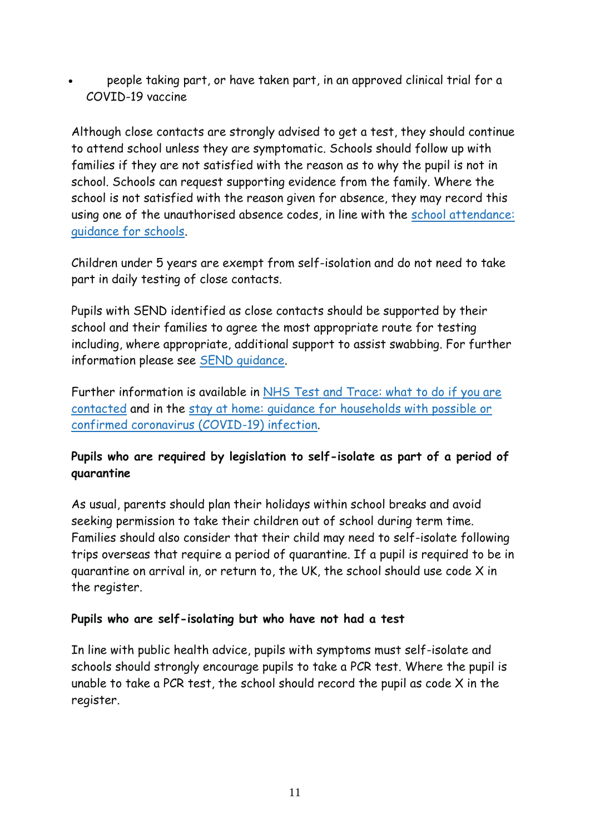people taking part, or have taken part, in an approved clinical trial for a COVID-19 vaccine

Although close contacts are strongly advised to get a test, they should continue to attend school unless they are symptomatic. Schools should follow up with families if they are not satisfied with the reason as to why the pupil is not in school. Schools can request supporting evidence from the family. Where the school is not satisfied with the reason given for absence, they may record this using one of the unauthorised absence codes, in line with the [school attendance:](https://www.gov.uk/government/publications/school-attendance)  [guidance for schools.](https://www.gov.uk/government/publications/school-attendance)

Children under 5 years are exempt from self-isolation and do not need to take part in daily testing of close contacts.

Pupils with SEND identified as close contacts should be supported by their school and their families to agree the most appropriate route for testing including, where appropriate, additional support to assist swabbing. For further information please see [SEND guidance.](https://www.gov.uk/government/publications/guidance-for-full-opening-special-schools-and-other-specialist-settings)

Further information is available in [NHS Test and Trace: what to do if you are](https://www.gov.uk/guidance/nhs-test-and-trace-how-it-works)  [contacted](https://www.gov.uk/guidance/nhs-test-and-trace-how-it-works) and in the [stay at home: guidance for households with possible or](https://www.gov.uk/government/publications/covid-19-stay-at-home-guidance)  [confirmed coronavirus \(COVID-19\) infection.](https://www.gov.uk/government/publications/covid-19-stay-at-home-guidance)

### **Pupils who are required by legislation to self-isolate as part of a period of quarantine**

As usual, parents should plan their holidays within school breaks and avoid seeking permission to take their children out of school during term time. Families should also consider that their child may need to self-isolate following trips overseas that require a period of quarantine. If a pupil is required to be in quarantine on arrival in, or return to, the UK, the school should use code X in the register.

#### **Pupils who are self-isolating but who have not had a test**

In line with public health advice, pupils with symptoms must self-isolate and schools should strongly encourage pupils to take a PCR test. Where the pupil is unable to take a PCR test, the school should record the pupil as code X in the register.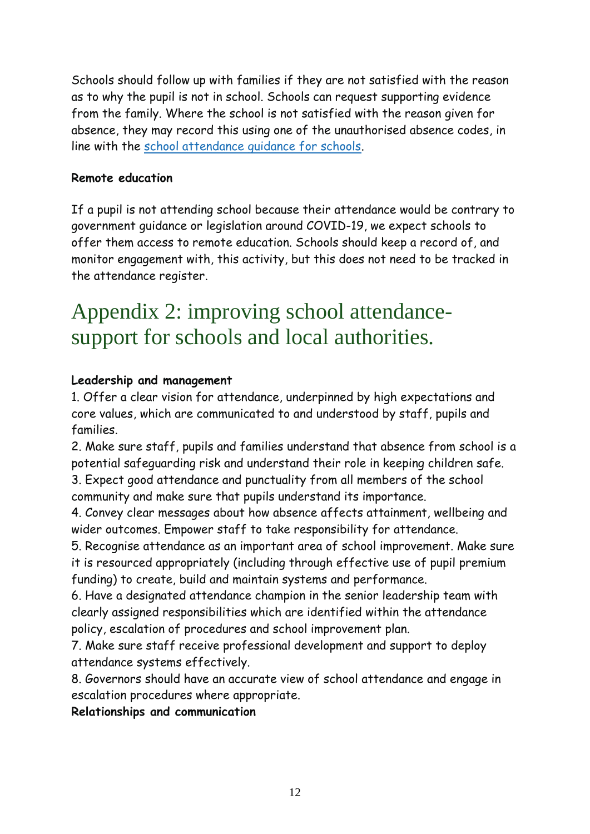Schools should follow up with families if they are not satisfied with the reason as to why the pupil is not in school. Schools can request supporting evidence from the family. Where the school is not satisfied with the reason given for absence, they may record this using one of the unauthorised absence codes, in line with the [school attendance guidance for schools.](https://www.gov.uk/government/publications/school-attendance)

#### **Remote education**

If a pupil is not attending school because their attendance would be contrary to government guidance or legislation around COVID-19, we expect schools to offer them access to remote education. Schools should keep a record of, and monitor engagement with, this activity, but this does not need to be tracked in the attendance register.

# Appendix 2: improving school attendancesupport for schools and local authorities.

#### **Leadership and management**

1. Offer a clear vision for attendance, underpinned by high expectations and core values, which are communicated to and understood by staff, pupils and families.

2. Make sure staff, pupils and families understand that absence from school is a potential safeguarding risk and understand their role in keeping children safe. 3. Expect good attendance and punctuality from all members of the school community and make sure that pupils understand its importance.

4. Convey clear messages about how absence affects attainment, wellbeing and wider outcomes. Empower staff to take responsibility for attendance.

5. Recognise attendance as an important area of school improvement. Make sure it is resourced appropriately (including through effective use of pupil premium funding) to create, build and maintain systems and performance.

6. Have a designated attendance champion in the senior leadership team with clearly assigned responsibilities which are identified within the attendance policy, escalation of procedures and school improvement plan.

7. Make sure staff receive professional development and support to deploy attendance systems effectively.

8. Governors should have an accurate view of school attendance and engage in escalation procedures where appropriate.

**Relationships and communication**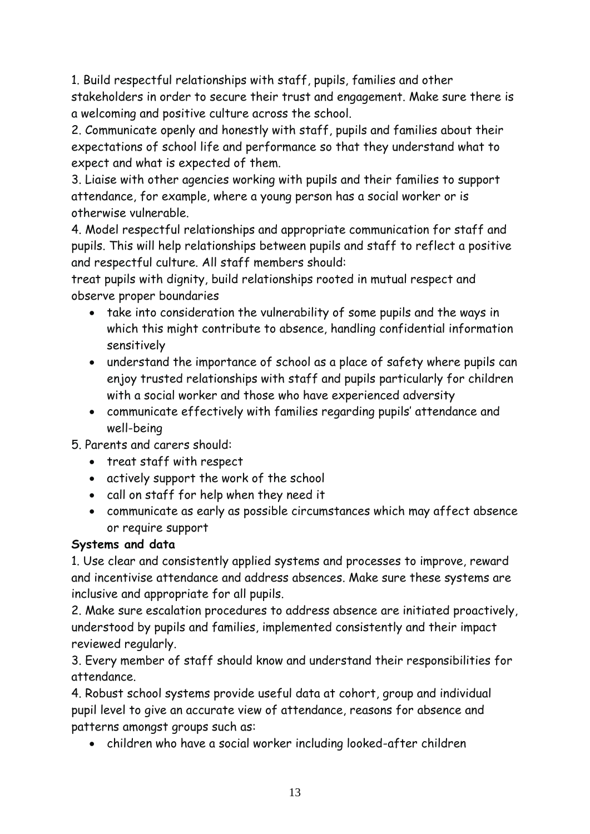1. Build respectful relationships with staff, pupils, families and other stakeholders in order to secure their trust and engagement. Make sure there is a welcoming and positive culture across the school.

2. Communicate openly and honestly with staff, pupils and families about their expectations of school life and performance so that they understand what to expect and what is expected of them.

3. Liaise with other agencies working with pupils and their families to support attendance, for example, where a young person has a social worker or is otherwise vulnerable.

4. Model respectful relationships and appropriate communication for staff and pupils. This will help relationships between pupils and staff to reflect a positive and respectful culture. All staff members should:

treat pupils with dignity, build relationships rooted in mutual respect and observe proper boundaries

- take into consideration the vulnerability of some pupils and the ways in which this might contribute to absence, handling confidential information sensitively
- understand the importance of school as a place of safety where pupils can enjoy trusted relationships with staff and pupils particularly for children with a social worker and those who have experienced adversity
- communicate effectively with families regarding pupils' attendance and well-being

5. Parents and carers should:

- treat staff with respect
- actively support the work of the school
- call on staff for help when they need it
- communicate as early as possible circumstances which may affect absence or require support

#### **Systems and data**

1. Use clear and consistently applied systems and processes to improve, reward and incentivise attendance and address absences. Make sure these systems are inclusive and appropriate for all pupils.

2. Make sure escalation procedures to address absence are initiated proactively, understood by pupils and families, implemented consistently and their impact reviewed regularly.

3. Every member of staff should know and understand their responsibilities for attendance.

4. Robust school systems provide useful data at cohort, group and individual pupil level to give an accurate view of attendance, reasons for absence and patterns amongst groups such as:

children who have a social worker including looked-after children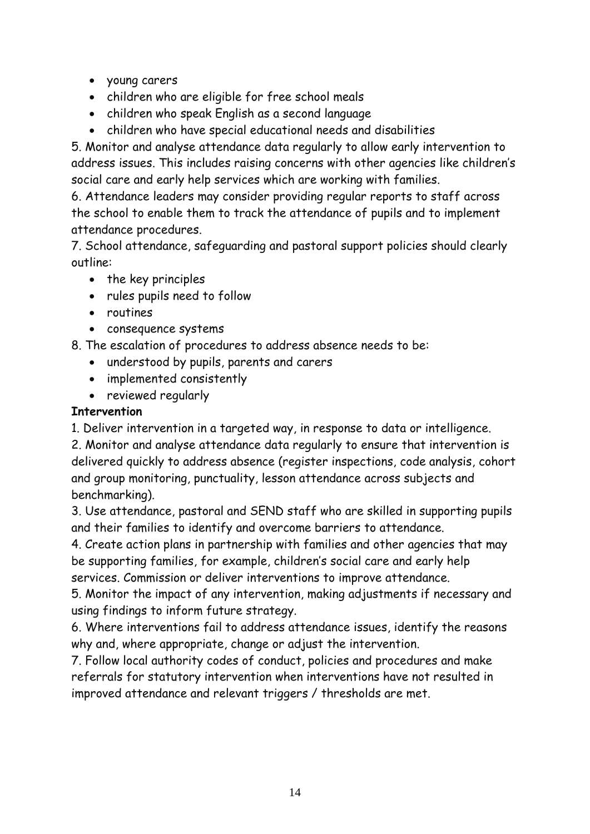- young carers
- children who are eligible for free school meals
- children who speak English as a second language
- children who have special educational needs and disabilities

5. Monitor and analyse attendance data regularly to allow early intervention to address issues. This includes raising concerns with other agencies like children's social care and early help services which are working with families.

6. Attendance leaders may consider providing regular reports to staff across the school to enable them to track the attendance of pupils and to implement attendance procedures.

7. School attendance, safeguarding and pastoral support policies should clearly outline:

- the key principles
- rules pupils need to follow
- routines
- consequence systems
- 8. The escalation of procedures to address absence needs to be:
	- understood by pupils, parents and carers
	- implemented consistently
	- reviewed regularly

### **Intervention**

1. Deliver intervention in a targeted way, in response to data or intelligence.

2. Monitor and analyse attendance data regularly to ensure that intervention is delivered quickly to address absence (register inspections, code analysis, cohort and group monitoring, punctuality, lesson attendance across subjects and benchmarking).

3. Use attendance, pastoral and SEND staff who are skilled in supporting pupils and their families to identify and overcome barriers to attendance.

4. Create action plans in partnership with families and other agencies that may be supporting families, for example, children's social care and early help services. Commission or deliver interventions to improve attendance.

5. Monitor the impact of any intervention, making adjustments if necessary and using findings to inform future strategy.

6. Where interventions fail to address attendance issues, identify the reasons why and, where appropriate, change or adjust the intervention.

7. Follow local authority codes of conduct, policies and procedures and make referrals for statutory intervention when interventions have not resulted in improved attendance and relevant triggers / thresholds are met.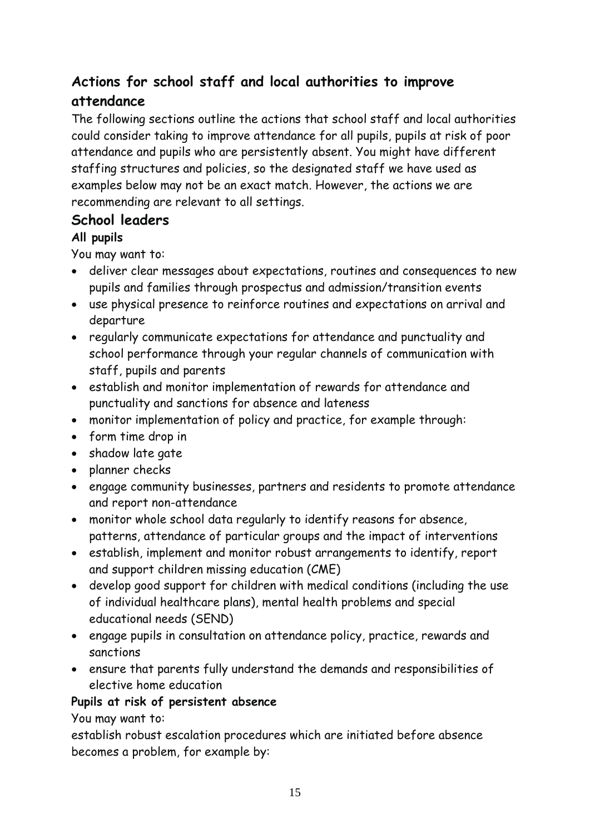# **Actions for school staff and local authorities to improve attendance**

The following sections outline the actions that school staff and local authorities could consider taking to improve attendance for all pupils, pupils at risk of poor attendance and pupils who are persistently absent. You might have different staffing structures and policies, so the designated staff we have used as examples below may not be an exact match. However, the actions we are recommending are relevant to all settings.

## **School leaders**

## **All pupils**

You may want to:

- deliver clear messages about expectations, routines and consequences to new pupils and families through prospectus and admission/transition events
- use physical presence to reinforce routines and expectations on arrival and departure
- regularly communicate expectations for attendance and punctuality and school performance through your regular channels of communication with staff, pupils and parents
- establish and monitor implementation of rewards for attendance and punctuality and sanctions for absence and lateness
- monitor implementation of policy and practice, for example through:
- form time drop in
- shadow late gate
- planner checks
- engage community businesses, partners and residents to promote attendance and report non-attendance
- monitor whole school data regularly to identify reasons for absence, patterns, attendance of particular groups and the impact of interventions
- establish, implement and monitor robust arrangements to identify, report and support children missing education (CME)
- develop good support for children with medical conditions (including the use of individual healthcare plans), mental health problems and special educational needs (SEND)
- engage pupils in consultation on attendance policy, practice, rewards and sanctions
- ensure that parents fully understand the demands and responsibilities of elective home education

## **Pupils at risk of persistent absence**

You may want to:

establish robust escalation procedures which are initiated before absence becomes a problem, for example by: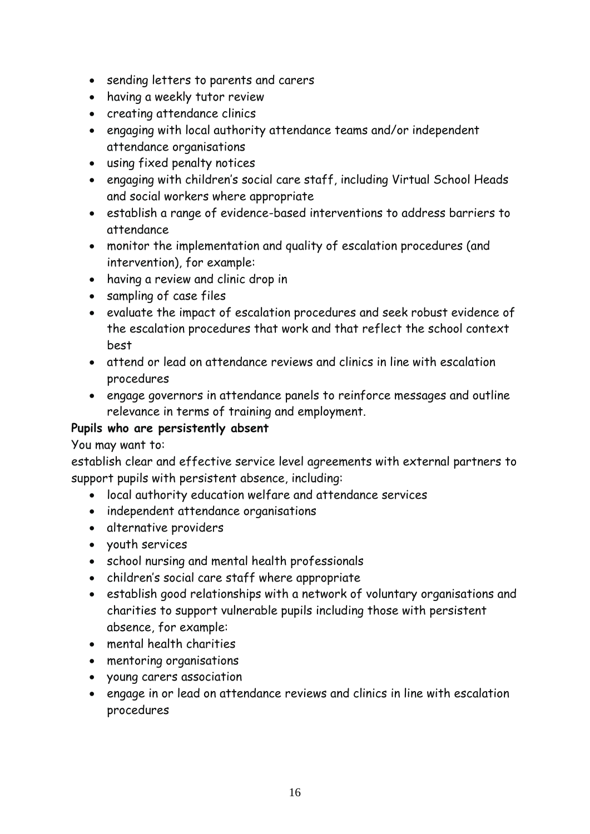- sending letters to parents and carers
- having a weekly tutor review
- creating attendance clinics
- engaging with local authority attendance teams and/or independent attendance organisations
- using fixed penalty notices
- engaging with children's social care staff, including Virtual School Heads and social workers where appropriate
- establish a range of evidence-based interventions to address barriers to attendance
- monitor the implementation and quality of escalation procedures (and intervention), for example:
- having a review and clinic drop in
- sampling of case files
- evaluate the impact of escalation procedures and seek robust evidence of the escalation procedures that work and that reflect the school context best
- attend or lead on attendance reviews and clinics in line with escalation procedures
- engage governors in attendance panels to reinforce messages and outline relevance in terms of training and employment.

#### **Pupils who are persistently absent**

#### You may want to:

establish clear and effective service level agreements with external partners to support pupils with persistent absence, including:

- local authority education welfare and attendance services
- independent attendance organisations
- alternative providers
- youth services
- school nursing and mental health professionals
- children's social care staff where appropriate
- establish good relationships with a network of voluntary organisations and charities to support vulnerable pupils including those with persistent absence, for example:
- mental health charities
- mentoring organisations
- young carers association
- engage in or lead on attendance reviews and clinics in line with escalation procedures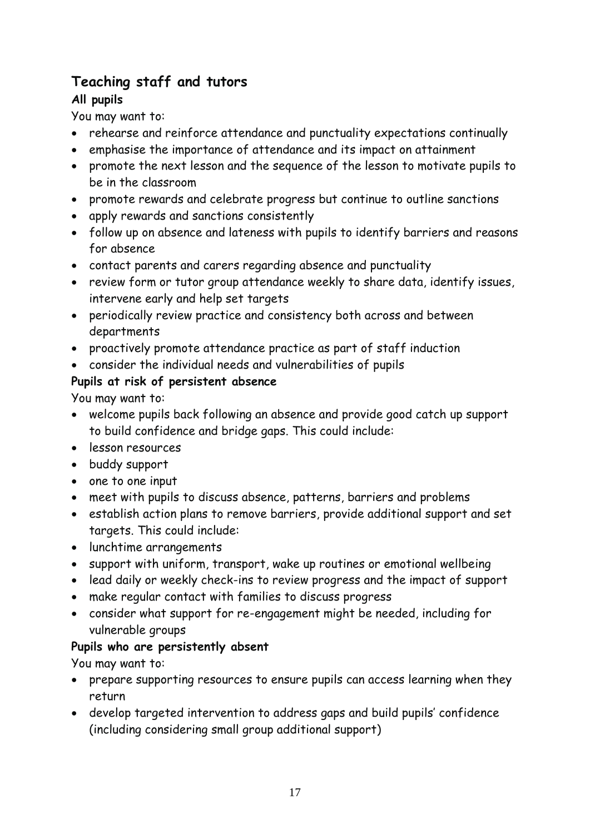## **Teaching staff and tutors**

## **All pupils**

You may want to:

- rehearse and reinforce attendance and punctuality expectations continually
- emphasise the importance of attendance and its impact on attainment
- promote the next lesson and the sequence of the lesson to motivate pupils to be in the classroom
- promote rewards and celebrate progress but continue to outline sanctions
- apply rewards and sanctions consistently
- follow up on absence and lateness with pupils to identify barriers and reasons for absence
- contact parents and carers regarding absence and punctuality
- review form or tutor group attendance weekly to share data, identify issues, intervene early and help set targets
- periodically review practice and consistency both across and between departments
- proactively promote attendance practice as part of staff induction
- consider the individual needs and vulnerabilities of pupils

## **Pupils at risk of persistent absence**

You may want to:

- welcome pupils back following an absence and provide good catch up support to build confidence and bridge gaps. This could include:
- lesson resources
- buddy support
- one to one input
- meet with pupils to discuss absence, patterns, barriers and problems
- establish action plans to remove barriers, provide additional support and set targets. This could include:
- lunchtime arrangements
- support with uniform, transport, wake up routines or emotional wellbeing
- lead daily or weekly check-ins to review progress and the impact of support
- make regular contact with families to discuss progress
- consider what support for re-engagement might be needed, including for vulnerable groups

## **Pupils who are persistently absent**

You may want to:

- prepare supporting resources to ensure pupils can access learning when they return
- develop targeted intervention to address gaps and build pupils' confidence (including considering small group additional support)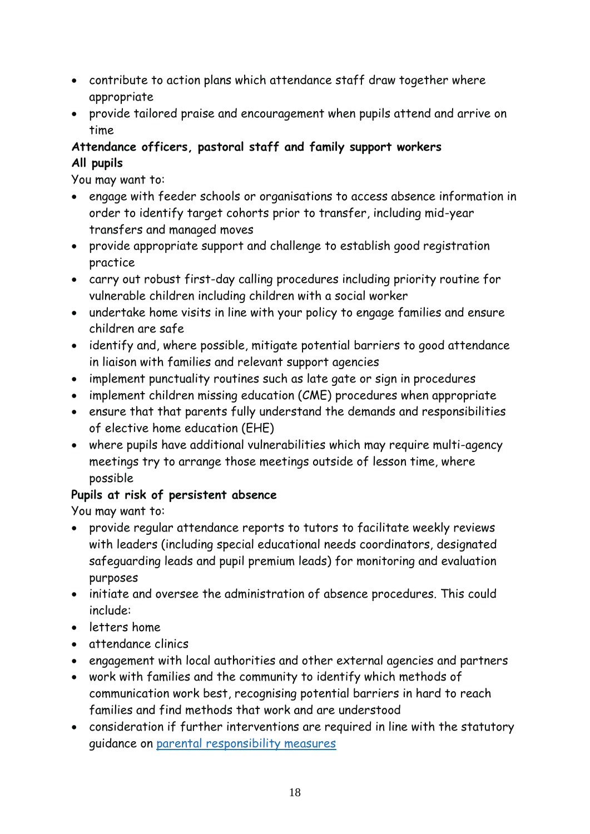- contribute to action plans which attendance staff draw together where appropriate
- provide tailored praise and encouragement when pupils attend and arrive on time

## **Attendance officers, pastoral staff and family support workers All pupils**

You may want to:

- engage with feeder schools or organisations to access absence information in order to identify target cohorts prior to transfer, including mid-year transfers and managed moves
- provide appropriate support and challenge to establish good registration practice
- carry out robust first-day calling procedures including priority routine for vulnerable children including children with a social worker
- undertake home visits in line with your policy to engage families and ensure children are safe
- identify and, where possible, mitigate potential barriers to good attendance in liaison with families and relevant support agencies
- implement punctuality routines such as late gate or sign in procedures
- implement children missing education (CME) procedures when appropriate
- ensure that that parents fully understand the demands and responsibilities of elective home education (EHE)
- where pupils have additional vulnerabilities which may require multi-agency meetings try to arrange those meetings outside of lesson time, where possible

## **Pupils at risk of persistent absence**

You may want to:

- provide regular attendance reports to tutors to facilitate weekly reviews with leaders (including special educational needs coordinators, designated safeguarding leads and pupil premium leads) for monitoring and evaluation purposes
- initiate and oversee the administration of absence procedures. This could include:
- letters home
- attendance clinics
- engagement with local authorities and other external agencies and partners
- work with families and the community to identify which methods of communication work best, recognising potential barriers in hard to reach families and find methods that work and are understood
- consideration if further interventions are required in line with the statutory guidance on [parental responsibility measures](https://www.gov.uk/government/publications/parental-responsibility-measures-for-behaviour-and-attendance)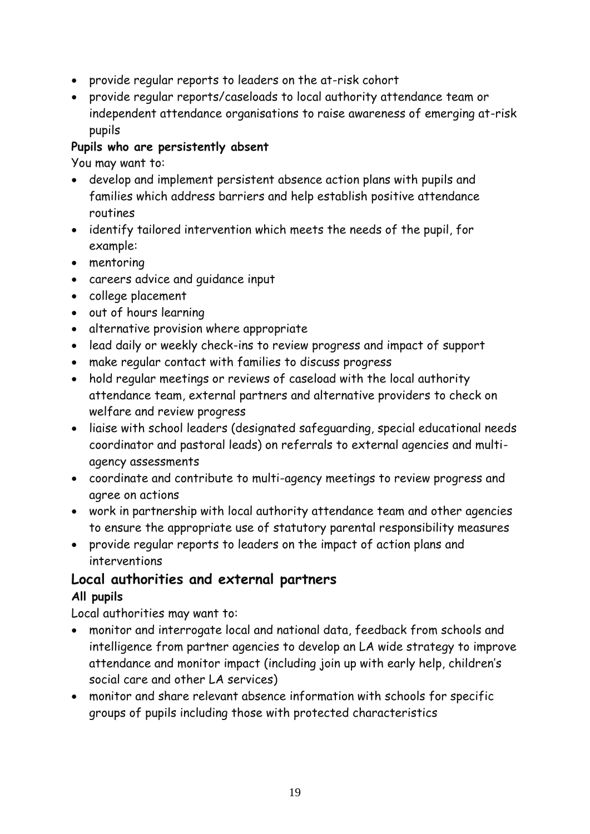- provide regular reports to leaders on the at-risk cohort
- provide regular reports/caseloads to local authority attendance team or independent attendance organisations to raise awareness of emerging at-risk pupils

#### **Pupils who are persistently absent**

You may want to:

- develop and implement persistent absence action plans with pupils and families which address barriers and help establish positive attendance routines
- identify tailored intervention which meets the needs of the pupil, for example:
- mentoring
- careers advice and guidance input
- college placement
- out of hours learning
- alternative provision where appropriate
- lead daily or weekly check-ins to review progress and impact of support
- make regular contact with families to discuss progress
- hold regular meetings or reviews of caseload with the local authority attendance team, external partners and alternative providers to check on welfare and review progress
- liaise with school leaders (designated safeguarding, special educational needs coordinator and pastoral leads) on referrals to external agencies and multiagency assessments
- coordinate and contribute to multi-agency meetings to review progress and agree on actions
- work in partnership with local authority attendance team and other agencies to ensure the appropriate use of statutory parental responsibility measures
- provide regular reports to leaders on the impact of action plans and interventions

## **Local authorities and external partners All pupils**

Local authorities may want to:

- monitor and interrogate local and national data, feedback from schools and intelligence from partner agencies to develop an LA wide strategy to improve attendance and monitor impact (including join up with early help, children's social care and other LA services)
- monitor and share relevant absence information with schools for specific groups of pupils including those with protected characteristics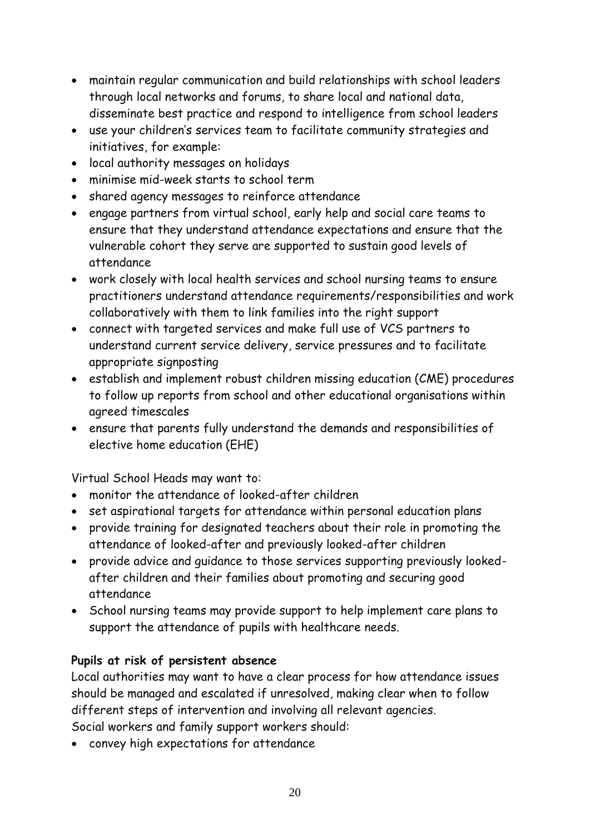- maintain regular communication and build relationships with school leaders through local networks and forums, to share local and national data, disseminate best practice and respond to intelligence from school leaders
- use your children's services team to facilitate community strategies and initiatives, for example:
- local authority messages on holidays
- minimise mid-week starts to school term
- shared agency messages to reinforce attendance
- engage partners from virtual school, early help and social care teams to ensure that they understand attendance expectations and ensure that the vulnerable cohort they serve are supported to sustain good levels of attendance
- work closely with local health services and school nursing teams to ensure practitioners understand attendance requirements/responsibilities and work collaboratively with them to link families into the right support
- connect with targeted services and make full use of VCS partners to understand current service delivery, service pressures and to facilitate appropriate signposting
- establish and implement robust children missing education (CME) procedures to follow up reports from school and other educational organisations within agreed timescales
- ensure that parents fully understand the demands and responsibilities of elective home education (EHE)

Virtual School Heads may want to:

- monitor the attendance of looked-after children
- set aspirational targets for attendance within personal education plans
- provide training for designated teachers about their role in promoting the attendance of looked-after and previously looked-after children
- provide advice and guidance to those services supporting previously lookedafter children and their families about promoting and securing good attendance
- School nursing teams may provide support to help implement care plans to support the attendance of pupils with healthcare needs.

#### **Pupils at risk of persistent absence**

Local authorities may want to have a clear process for how attendance issues should be managed and escalated if unresolved, making clear when to follow different steps of intervention and involving all relevant agencies. Social workers and family support workers should:

convey high expectations for attendance